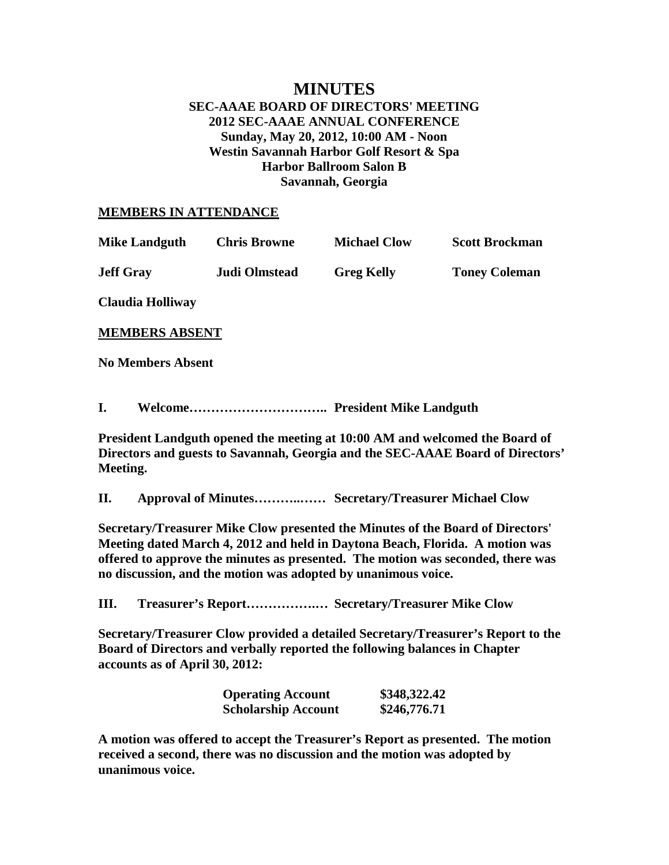## **MINUTES SEC-AAAE BOARD OF DIRECTORS' MEETING 2012 SEC-AAAE ANNUAL CONFERENCE Sunday, May 20, 2012, 10:00 AM - Noon Westin Savannah Harbor Golf Resort & Spa Harbor Ballroom Salon B Savannah, Georgia**

## **MEMBERS IN ATTENDANCE**

| <b>Mike Landguth</b> | <b>Chris Browne</b>  | <b>Michael Clow</b> | <b>Scott Brockman</b> |
|----------------------|----------------------|---------------------|-----------------------|
| <b>Jeff Gray</b>     | <b>Judi Olmstead</b> | <b>Greg Kelly</b>   | <b>Toney Coleman</b>  |

**Claudia Holliway**

**MEMBERS ABSENT**

**No Members Absent**

**I. Welcome………………………….. President Mike Landguth**

**President Landguth opened the meeting at 10:00 AM and welcomed the Board of Directors and guests to Savannah, Georgia and the SEC-AAAE Board of Directors' Meeting.**

**II. Approval of Minutes………..…… Secretary/Treasurer Michael Clow**

**Secretary/Treasurer Mike Clow presented the Minutes of the Board of Directors' Meeting dated March 4, 2012 and held in Daytona Beach, Florida. A motion was offered to approve the minutes as presented. The motion was seconded, there was no discussion, and the motion was adopted by unanimous voice.**

**III. Treasurer's Report…………….… Secretary/Treasurer Mike Clow**

**Secretary/Treasurer Clow provided a detailed Secretary/Treasurer's Report to the Board of Directors and verbally reported the following balances in Chapter accounts as of April 30, 2012:**

| <b>Operating Account</b>   | \$348,322.42 |
|----------------------------|--------------|
| <b>Scholarship Account</b> | \$246,776.71 |

**A motion was offered to accept the Treasurer's Report as presented. The motion received a second, there was no discussion and the motion was adopted by unanimous voice.**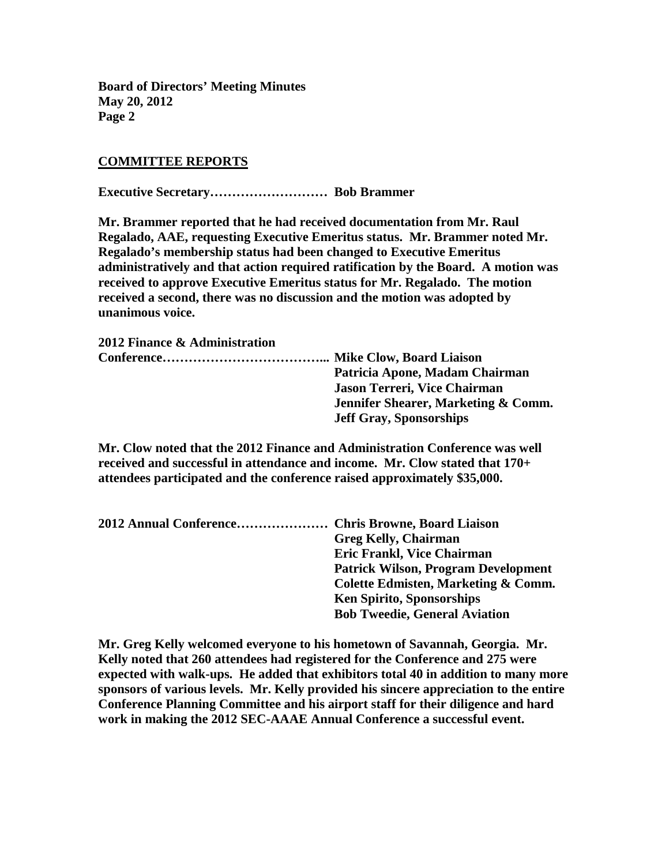## **COMMITTEE REPORTS**

**Executive Secretary……………………… Bob Brammer**

**Mr. Brammer reported that he had received documentation from Mr. Raul Regalado, AAE, requesting Executive Emeritus status. Mr. Brammer noted Mr. Regalado's membership status had been changed to Executive Emeritus administratively and that action required ratification by the Board. A motion was received to approve Executive Emeritus status for Mr. Regalado. The motion received a second, there was no discussion and the motion was adopted by unanimous voice.**

| 2012 Finance & Administration |                                     |
|-------------------------------|-------------------------------------|
|                               |                                     |
|                               | Patricia Apone, Madam Chairman      |
|                               | <b>Jason Terreri, Vice Chairman</b> |
|                               | Jennifer Shearer, Marketing & Comm. |
|                               | <b>Jeff Gray, Sponsorships</b>      |

**Mr. Clow noted that the 2012 Finance and Administration Conference was well received and successful in attendance and income. Mr. Clow stated that 170+ attendees participated and the conference raised approximately \$35,000.**

| 2012 Annual Conference Chris Browne, Board Liaison |                                            |
|----------------------------------------------------|--------------------------------------------|
|                                                    | <b>Greg Kelly, Chairman</b>                |
|                                                    | <b>Eric Frankl, Vice Chairman</b>          |
|                                                    | <b>Patrick Wilson, Program Development</b> |
|                                                    | Colette Edmisten, Marketing & Comm.        |
|                                                    | <b>Ken Spirito, Sponsorships</b>           |
|                                                    | <b>Bob Tweedie, General Aviation</b>       |
|                                                    |                                            |

**Mr. Greg Kelly welcomed everyone to his hometown of Savannah, Georgia. Mr. Kelly noted that 260 attendees had registered for the Conference and 275 were expected with walk-ups. He added that exhibitors total 40 in addition to many more sponsors of various levels. Mr. Kelly provided his sincere appreciation to the entire Conference Planning Committee and his airport staff for their diligence and hard work in making the 2012 SEC-AAAE Annual Conference a successful event.**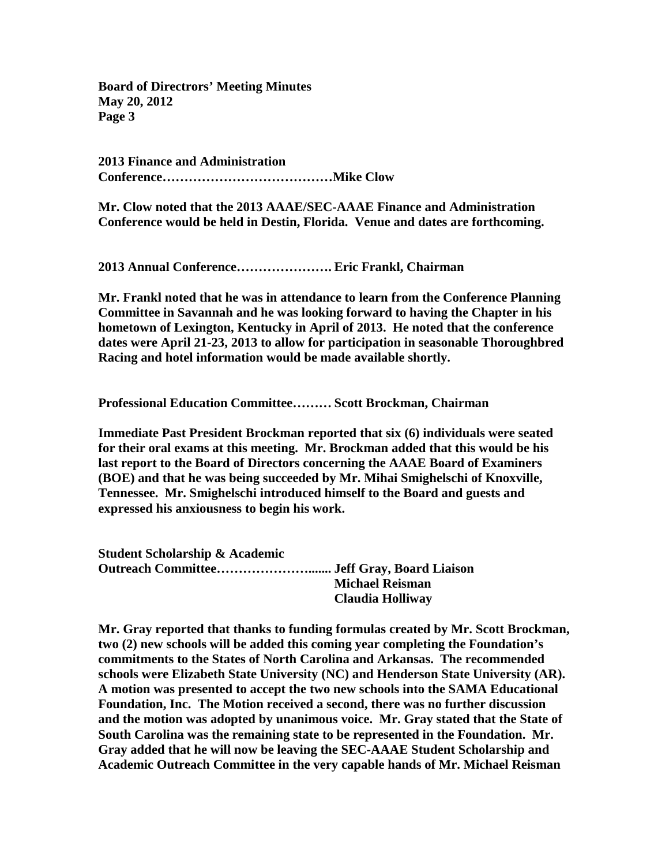**2013 Finance and Administration Conference…………………………………Mike Clow**

**Mr. Clow noted that the 2013 AAAE/SEC-AAAE Finance and Administration Conference would be held in Destin, Florida. Venue and dates are forthcoming.**

**2013 Annual Conference…………………. Eric Frankl, Chairman**

**Mr. Frankl noted that he was in attendance to learn from the Conference Planning Committee in Savannah and he was looking forward to having the Chapter in his hometown of Lexington, Kentucky in April of 2013. He noted that the conference dates were April 21-23, 2013 to allow for participation in seasonable Thoroughbred Racing and hotel information would be made available shortly.**

**Professional Education Committee……… Scott Brockman, Chairman**

**Immediate Past President Brockman reported that six (6) individuals were seated for their oral exams at this meeting. Mr. Brockman added that this would be his last report to the Board of Directors concerning the AAAE Board of Examiners (BOE) and that he was being succeeded by Mr. Mihai Smighelschi of Knoxville, Tennessee. Mr. Smighelschi introduced himself to the Board and guests and expressed his anxiousness to begin his work.**

**Student Scholarship & Academic Outreach Committee…………………....... Jeff Gray, Board Liaison Michael Reisman Claudia Holliway**

**Mr. Gray reported that thanks to funding formulas created by Mr. Scott Brockman, two (2) new schools will be added this coming year completing the Foundation's commitments to the States of North Carolina and Arkansas. The recommended schools were Elizabeth State University (NC) and Henderson State University (AR). A motion was presented to accept the two new schools into the SAMA Educational Foundation, Inc. The Motion received a second, there was no further discussion and the motion was adopted by unanimous voice. Mr. Gray stated that the State of South Carolina was the remaining state to be represented in the Foundation. Mr. Gray added that he will now be leaving the SEC-AAAE Student Scholarship and Academic Outreach Committee in the very capable hands of Mr. Michael Reisman**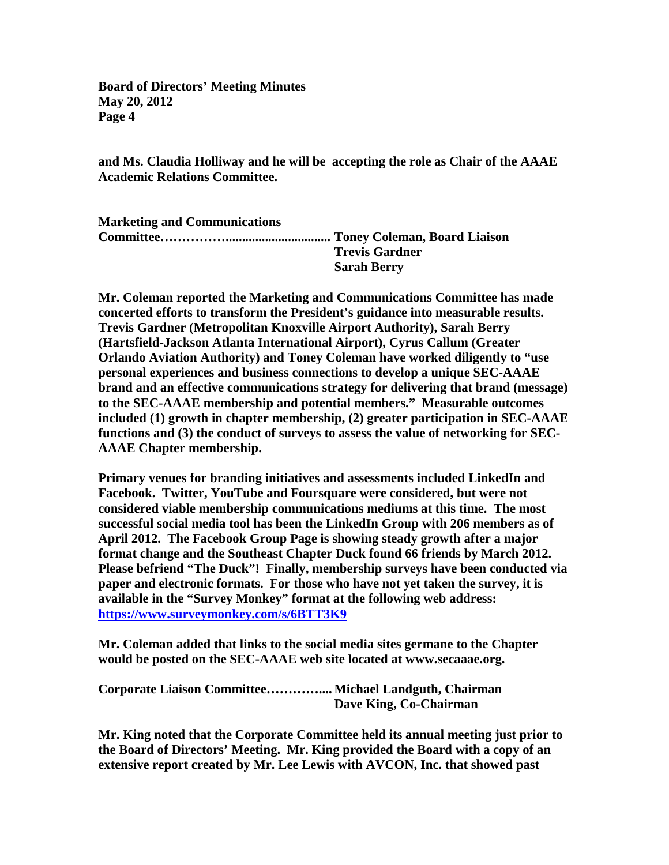**and Ms. Claudia Holliway and he will be accepting the role as Chair of the AAAE Academic Relations Committee.**

| <b>Marketing and Communications</b> |                       |
|-------------------------------------|-----------------------|
|                                     |                       |
|                                     | <b>Trevis Gardner</b> |
|                                     | <b>Sarah Berry</b>    |

**Mr. Coleman reported the Marketing and Communications Committee has made concerted efforts to transform the President's guidance into measurable results. Trevis Gardner (Metropolitan Knoxville Airport Authority), Sarah Berry (Hartsfield-Jackson Atlanta International Airport), Cyrus Callum (Greater Orlando Aviation Authority) and Toney Coleman have worked diligently to "use personal experiences and business connections to develop a unique SEC-AAAE brand and an effective communications strategy for delivering that brand (message) to the SEC-AAAE membership and potential members." Measurable outcomes included (1) growth in chapter membership, (2) greater participation in SEC-AAAE functions and (3) the conduct of surveys to assess the value of networking for SEC-AAAE Chapter membership.** 

**Primary venues for branding initiatives and assessments included LinkedIn and Facebook. Twitter, YouTube and Foursquare were considered, but were not considered viable membership communications mediums at this time. The most successful social media tool has been the LinkedIn Group with 206 members as of April 2012. The Facebook Group Page is showing steady growth after a major format change and the Southeast Chapter Duck found 66 friends by March 2012. Please befriend "The Duck"! Finally, membership surveys have been conducted via paper and electronic formats. For those who have not yet taken the survey, it is available in the "Survey Monkey" format at the following web address: [https://www.surveymonkey.com/s/6BTT3K9](https://citywebmail.ci.fayetteville.nc.us/owa/redir.aspx?C=553759dbef3f4616b220c1ae4ca7769d&URL=https%3a%2f%2fwww.surveymonkey.com%2fs%2f6BTT3K9)**

**Mr. Coleman added that links to the social media sites germane to the Chapter would be posted on the SEC-AAAE web site located at www.secaaae.org.**

**Corporate Liaison Committee………….... Michael Landguth, Chairman Dave King, Co-Chairman**

**Mr. King noted that the Corporate Committee held its annual meeting just prior to the Board of Directors' Meeting. Mr. King provided the Board with a copy of an extensive report created by Mr. Lee Lewis with AVCON, Inc. that showed past**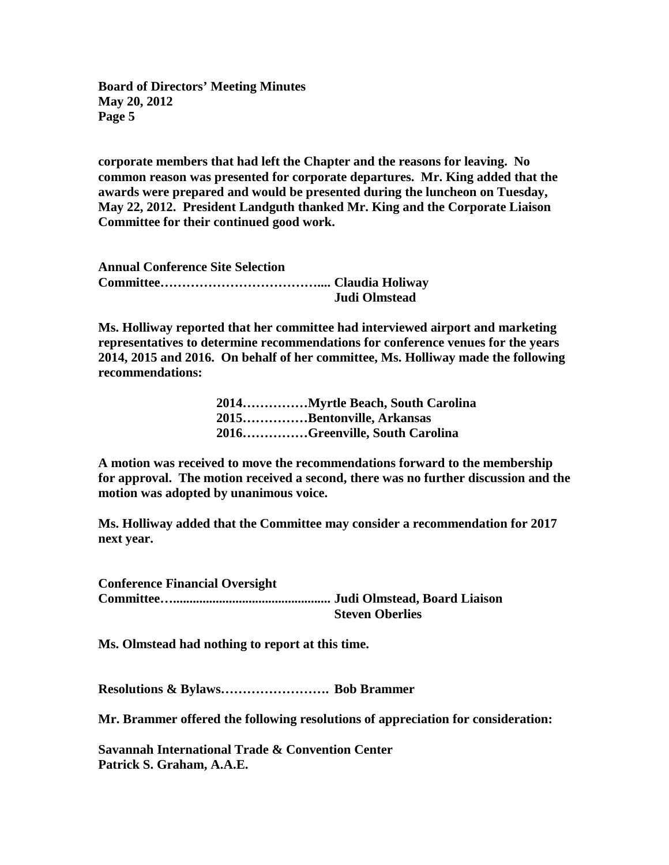**corporate members that had left the Chapter and the reasons for leaving. No common reason was presented for corporate departures. Mr. King added that the awards were prepared and would be presented during the luncheon on Tuesday, May 22, 2012. President Landguth thanked Mr. King and the Corporate Liaison Committee for their continued good work.**

| <b>Annual Conference Site Selection</b> |               |
|-----------------------------------------|---------------|
|                                         |               |
|                                         | Judi Olmstead |

**Ms. Holliway reported that her committee had interviewed airport and marketing representatives to determine recommendations for conference venues for the years 2014, 2015 and 2016. On behalf of her committee, Ms. Holliway made the following recommendations:**

| 2014Myrtle Beach, South Carolina |
|----------------------------------|
| 2015. Bentonville, Arkansas      |
| 2016Greenville, South Carolina   |

**A motion was received to move the recommendations forward to the membership for approval. The motion received a second, there was no further discussion and the motion was adopted by unanimous voice.** 

**Ms. Holliway added that the Committee may consider a recommendation for 2017 next year.** 

**Conference Financial Oversight Committee…................................................ Judi Olmstead, Board Liaison Steven Oberlies**

**Ms. Olmstead had nothing to report at this time.**

**Resolutions & Bylaws……………………. Bob Brammer**

**Mr. Brammer offered the following resolutions of appreciation for consideration:**

**Savannah International Trade & Convention Center Patrick S. Graham, A.A.E.**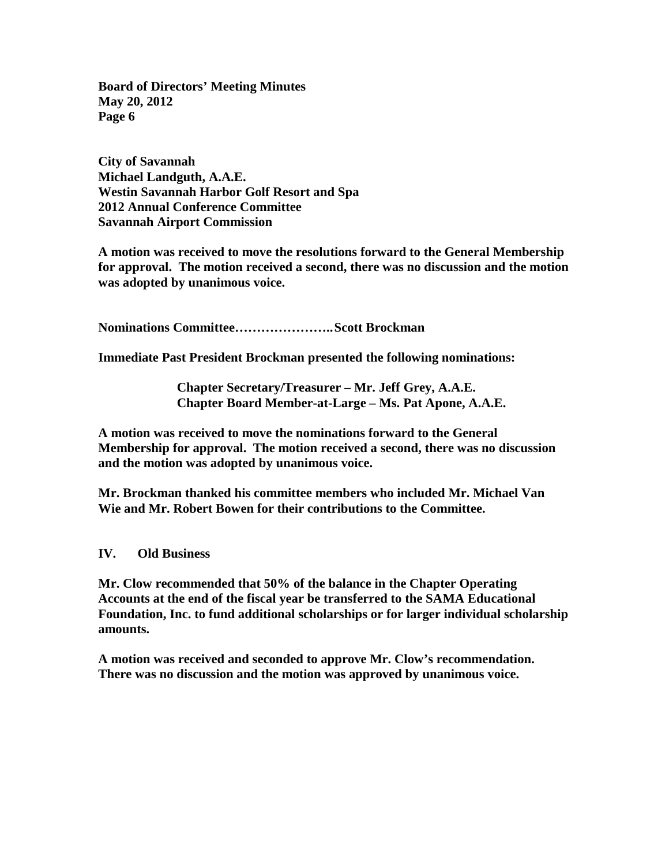**City of Savannah Michael Landguth, A.A.E. Westin Savannah Harbor Golf Resort and Spa 2012 Annual Conference Committee Savannah Airport Commission**

**A motion was received to move the resolutions forward to the General Membership for approval. The motion received a second, there was no discussion and the motion was adopted by unanimous voice.**

**Nominations Committee…………………..Scott Brockman**

**Immediate Past President Brockman presented the following nominations:**

**Chapter Secretary/Treasurer – Mr. Jeff Grey, A.A.E. Chapter Board Member-at-Large – Ms. Pat Apone, A.A.E.**

**A motion was received to move the nominations forward to the General Membership for approval. The motion received a second, there was no discussion and the motion was adopted by unanimous voice.**

**Mr. Brockman thanked his committee members who included Mr. Michael Van Wie and Mr. Robert Bowen for their contributions to the Committee.** 

**IV. Old Business**

**Mr. Clow recommended that 50% of the balance in the Chapter Operating Accounts at the end of the fiscal year be transferred to the SAMA Educational Foundation, Inc. to fund additional scholarships or for larger individual scholarship amounts.**

**A motion was received and seconded to approve Mr. Clow's recommendation. There was no discussion and the motion was approved by unanimous voice.**